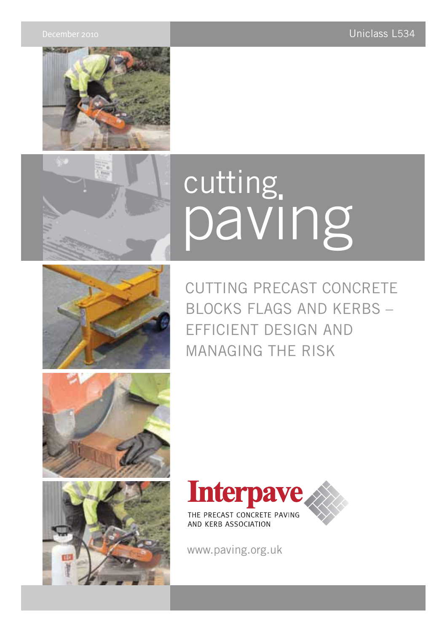



# paving cutting



CUTTING PRECAST CONCRETE BLOCKS FLAGS AND KERBS – EFFICIENT DESIGN AND MANAGING THE RISK







www.paving.org.uk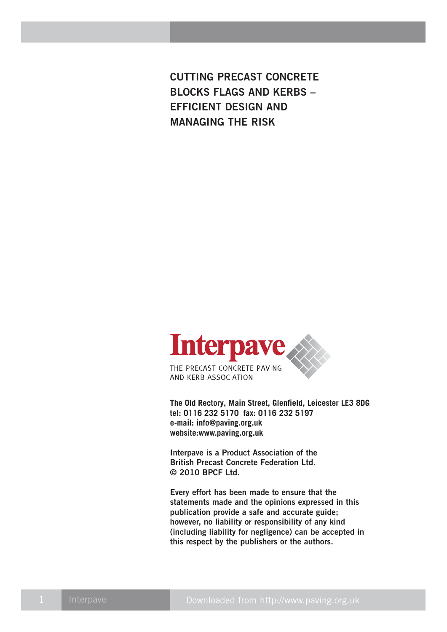**CUTTING PRECAST CONCRETE BLOCKS FLAGS AND KERBS – EFFICIENT DESIGN AND MANAGING THE RISK**



**The Old Rectory, Main Street, Glenfield, Leicester LE3 8DG tel: 0116 232 5170 fax: 0116 232 5197 e-mail: info@paving.org.uk website:www.paving.org.uk**

**Interpave is a Product Association of the British Precast Concrete Federation Ltd. © 2010 BPCF Ltd.**

**Every effort has been made to ensure that the statements made and the opinions expressed in this publication provide a safe and accurate guide; however, no liability or responsibility of any kind (including liability for negligence) can be accepted in this respect by the publishers or the authors.**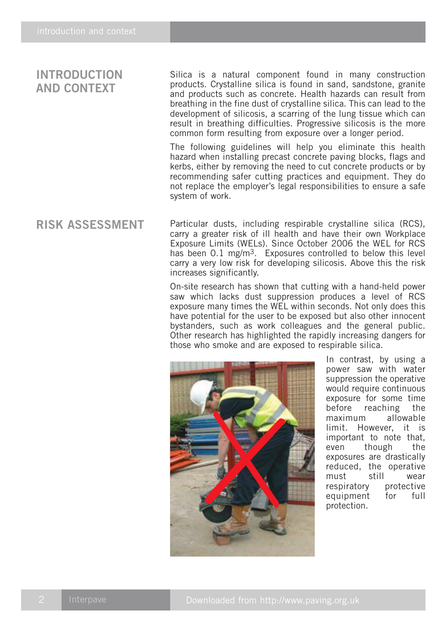# **INTRODUCTION AND CONTEXT**

Silica is a natural component found in many construction products. Crystalline silica is found in sand, sandstone, granite and products such as concrete. Health hazards can result from breathing in the fine dust of crystalline silica. This can lead to the development of silicosis, a scarring of the lung tissue which can result in breathing difficulties. Progressive silicosis is the more common form resulting from exposure over a longer period.

The following guidelines will help you eliminate this health hazard when installing precast concrete paving blocks, flags and kerbs, either by removing the need to cut concrete products or by recommending safer cutting practices and equipment. They do not replace the employer's legal responsibilities to ensure a safe system of work.

## **RISK ASSESSMENT**

Particular dusts, including respirable crystalline silica (RCS), carry a greater risk of ill health and have their own Workplace Exposure Limits (WELs). Since October 2006 the WEL for RCS has been 0.1 mg/m<sup>3</sup>. Exposures controlled to below this level carry a very low risk for developing silicosis. Above this the risk increases significantly.

On-site research has shown that cutting with a hand-held power saw which lacks dust suppression produces a level of RCS exposure many times the WEL within seconds. Not only does this have potential for the user to be exposed but also other innocent bystanders, such as work colleagues and the general public. Other research has highlighted the rapidly increasing dangers for those who smoke and are exposed to respirable silica.



In contrast, by using a power saw with water suppression the operative would require continuous exposure for some time before reaching the maximum allowable limit. However, it is important to note that, even though the exposures are drastically reduced, the operative must still wear respiratory protective equipment for full protection.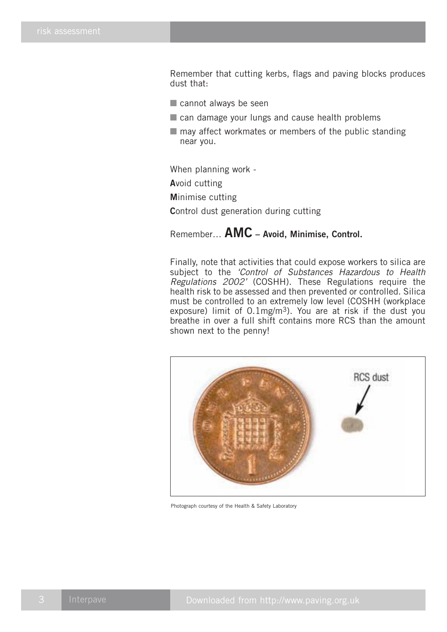Remember that cutting kerbs, flags and paving blocks produces dust that:

- cannot always be seen
- can damage your lungs and cause health problems
- $\blacksquare$  may affect workmates or members of the public standing near you.

When planning work -

**A**void cutting

**M**inimise cutting

**C**ontrol dust generation during cutting

Remember… **AMC – Avoid, Minimise, Control.**

Finally, note that activities that could expose workers to silica are subject to the 'Control of Substances Hazardous to Health Regulations 2002' (COSHH). These Regulations require the health risk to be assessed and then prevented or controlled. Silica must be controlled to an extremely low level (COSHH (workplace exposure) limit of  $0.1$ mg/m<sup>3</sup>). You are at risk if the dust you breathe in over a full shift contains more RCS than the amount shown next to the penny!



Photograph courtesy of the Health & Safety Laboratory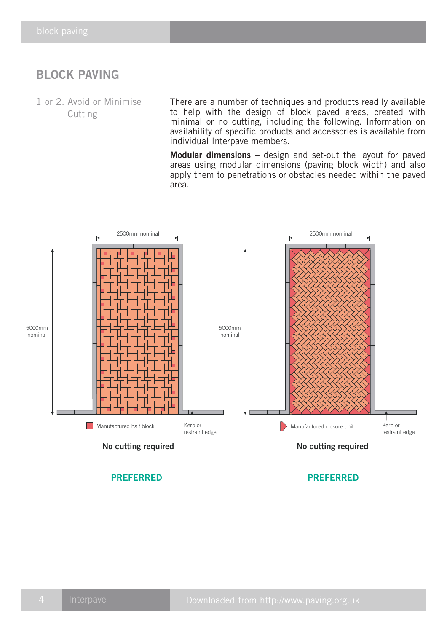# **BLOCK PAVING**

1 or 2. Avoid or Minimise Cutting

There are a number of techniques and products readily available to help with the design of block paved areas, created with minimal or no cutting, including the following. Information on availability of specific products and accessories is available from individual Interpave members.

**Modular dimensions** – design and set-out the layout for paved areas using modular dimensions (paving block width) and also apply them to penetrations or obstacles needed within the paved area.

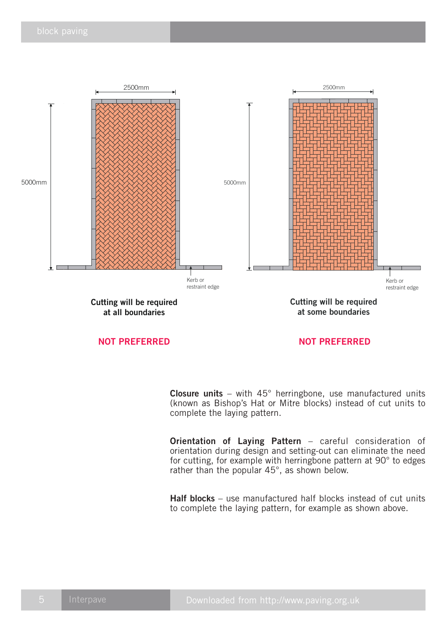

### **NOT PREFERRED NOT PREFERRED**

**Closure units** – with 45° herringbone, use manufactured units (known as Bishop's Hat or Mitre blocks) instead of cut units to complete the laying pattern.

**Orientation of Laying Pattern** – careful consideration of orientation during design and setting-out can eliminate the need for cutting, for example with herringbone pattern at 90° to edges rather than the popular 45°, as shown below.

**Half blocks** – use manufactured half blocks instead of cut units to complete the laying pattern, for example as shown above.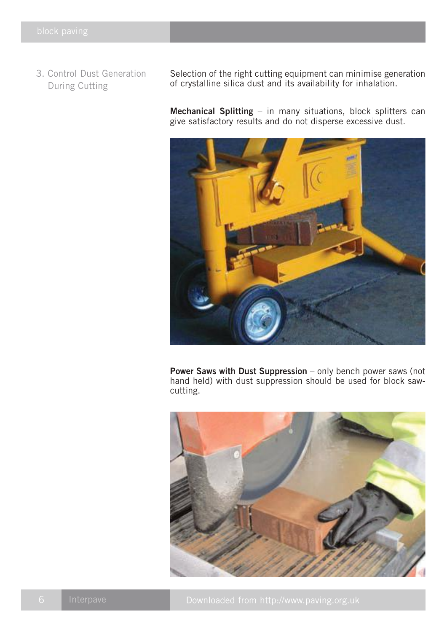3. Control Dust Generation During Cutting

Selection of the right cutting equipment can minimise generation of crystalline silica dust and its availability for inhalation.

**Mechanical Splitting** – in many situations, block splitters can give satisfactory results and do not disperse excessive dust.



**Power Saws with Dust Suppression** – only bench power saws (not hand held) with dust suppression should be used for block sawcutting.

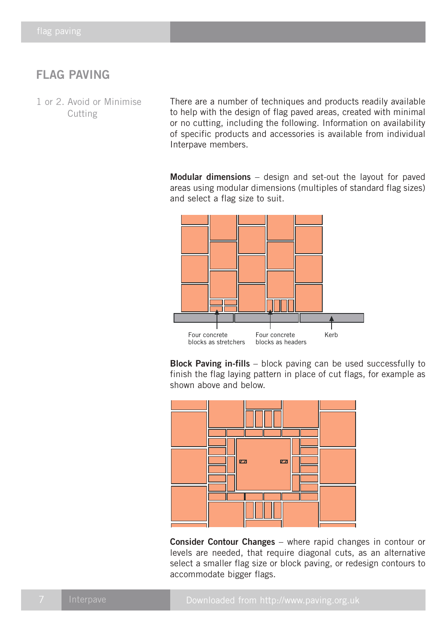# **FLAG PAVING**

1 or 2. Avoid or Minimise **Cutting** 

There are a number of techniques and products readily available to help with the design of flag paved areas, created with minimal or no cutting, including the following. Information on availability of specific products and accessories is available from individual Interpave members.

**Modular dimensions** – design and set-out the layout for paved areas using modular dimensions (multiples of standard flag sizes) and select a flag size to suit.



**Block Paving in-fills** – block paving can be used successfully to finish the flag laying pattern in place of cut flags, for example as shown above and below.



**Consider Contour Changes** – where rapid changes in contour or levels are needed, that require diagonal cuts, as an alternative select a smaller flag size or block paving, or redesign contours to accommodate bigger flags.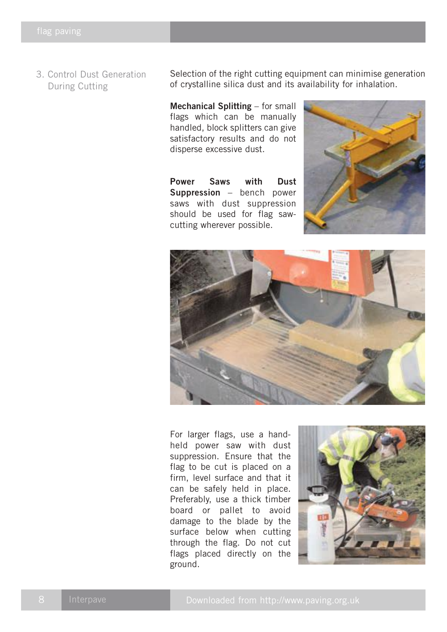3. Control Dust Generation During Cutting

Selection of the right cutting equipment can minimise generation of crystalline silica dust and its availability for inhalation.

**Mechanical Splitting** – for small flags which can be manually handled, block splitters can give satisfactory results and do not disperse excessive dust.

**Power Saws with Dust Suppression** – bench power saws with dust suppression should be used for flag sawcutting wherever possible.





For larger flags, use a handheld power saw with dust suppression. Ensure that the flag to be cut is placed on a firm, level surface and that it can be safely held in place. Preferably, use a thick timber board or pallet to avoid damage to the blade by the surface below when cutting through the flag. Do not cut flags placed directly on the ground.

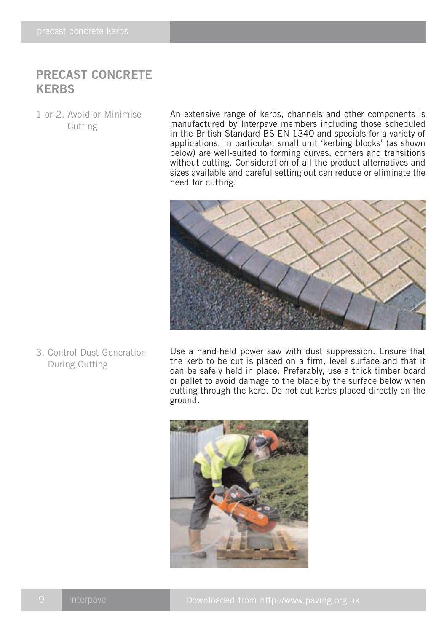# **PRECAST CONCRETE KERBS**

1 or 2. Avoid or Minimise Cutting

An extensive range of kerbs, channels and other components is manufactured by Interpave members including those scheduled in the British Standard BS EN 1340 and specials for a variety of applications. In particular, small unit 'kerbing blocks' (as shown below) are well-suited to forming curves, corners and transitions without cutting. Consideration of all the product alternatives and sizes available and careful setting out can reduce or eliminate the need for cutting.



3. Control Dust Generation During Cutting

Use a hand-held power saw with dust suppression. Ensure that the kerb to be cut is placed on a firm, level surface and that it can be safely held in place. Preferably, use a thick timber board or pallet to avoid damage to the blade by the surface below when cutting through the kerb. Do not cut kerbs placed directly on the ground.